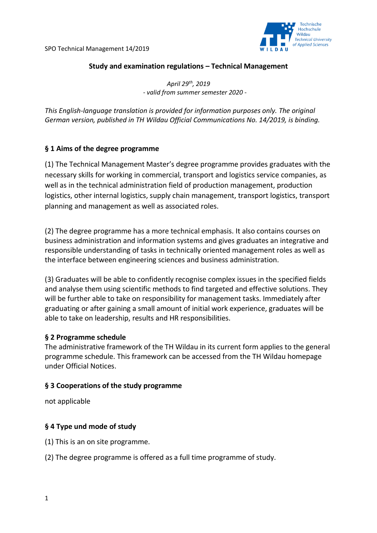SPO Technical Management 14/2019



#### **Study and examination regulations – Technical Management**

*April 29th, 2019 - valid from summer semester 2020 -*

*This English-language translation is provided for information purposes only. The original German version, published in TH Wildau Official Communications No. 14/2019, is binding.*

### **§ 1 Aims of the degree programme**

(1) The Technical Management Master's degree programme provides graduates with the necessary skills for working in commercial, transport and logistics service companies, as well as in the technical administration field of production management, production logistics, other internal logistics, supply chain management, transport logistics, transport planning and management as well as associated roles.

(2) The degree programme has a more technical emphasis. It also contains courses on business administration and information systems and gives graduates an integrative and responsible understanding of tasks in technically oriented management roles as well as the interface between engineering sciences and business administration.

(3) Graduates will be able to confidently recognise complex issues in the specified fields and analyse them using scientific methods to find targeted and effective solutions. They will be further able to take on responsibility for management tasks. Immediately after graduating or after gaining a small amount of initial work experience, graduates will be able to take on leadership, results and HR responsibilities.

#### **§ 2 Programme schedule**

The administrative framework of the TH Wildau in its current form applies to the general programme schedule. This framework can be accessed from the TH Wildau homepage under Official Notices.

#### **§ 3 Cooperations of the study programme**

not applicable

### **§ 4 Type und mode of study**

(1) This is an on site programme.

(2) The degree programme is offered as a full time programme of study.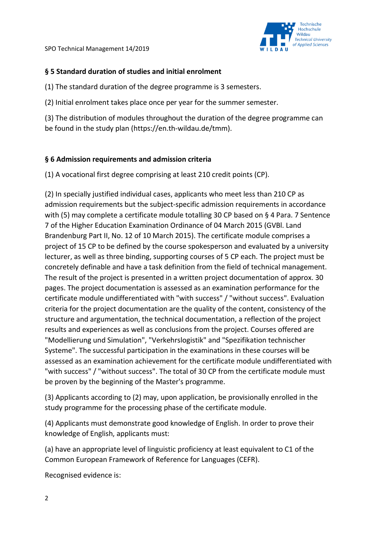SPO Technical Management 14/2019



## **§ 5 Standard duration of studies and initial enrolment**

(1) The standard duration of the degree programme is 3 semesters.

(2) Initial enrolment takes place once per year for the summer semester.

(3) The distribution of modules throughout the duration of the degree programme can be found in the study plan (https://en.th-wildau.de/tmm).

## **§ 6 Admission requirements and admission criteria**

(1) A vocational first degree comprising at least 210 credit points (CP).

(2) In specially justified individual cases, applicants who meet less than 210 CP as admission requirements but the subject-specific admission requirements in accordance with (5) may complete a certificate module totalling 30 CP based on § 4 Para. 7 Sentence 7 of the Higher Education Examination Ordinance of 04 March 2015 (GVBl. Land Brandenburg Part II, No. 12 of 10 March 2015). The certificate module comprises a project of 15 CP to be defined by the course spokesperson and evaluated by a university lecturer, as well as three binding, supporting courses of 5 CP each. The project must be concretely definable and have a task definition from the field of technical management. The result of the project is presented in a written project documentation of approx. 30 pages. The project documentation is assessed as an examination performance for the certificate module undifferentiated with "with success" / "without success". Evaluation criteria for the project documentation are the quality of the content, consistency of the structure and argumentation, the technical documentation, a reflection of the project results and experiences as well as conclusions from the project. Courses offered are "Modellierung und Simulation", "Verkehrslogistik" and "Spezifikation technischer Systeme". The successful participation in the examinations in these courses will be assessed as an examination achievement for the certificate module undifferentiated with "with success" / "without success". The total of 30 CP from the certificate module must be proven by the beginning of the Master's programme.

(3) Applicants according to (2) may, upon application, be provisionally enrolled in the study programme for the processing phase of the certificate module.

(4) Applicants must demonstrate good knowledge of English. In order to prove their knowledge of English, applicants must:

(a) have an appropriate level of linguistic proficiency at least equivalent to C1 of the Common European Framework of Reference for Languages (CEFR).

Recognised evidence is: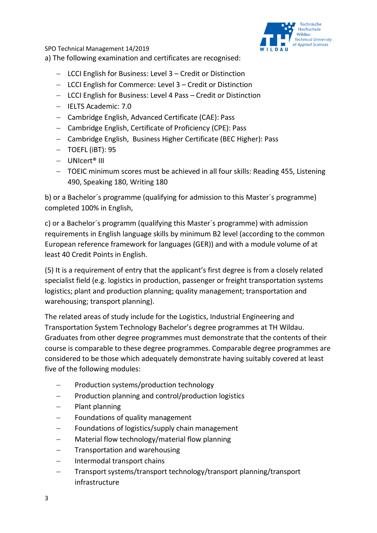SPO Technical Management 14/2019 a) The following examination and certificates are recognised:



- − LCCI English for Business: Level 3 Credit or Distinction
- − LCCI English for Commerce: Level 3 Credit or Distinction
- − LCCI English for Business: Level 4 Pass Credit or Distinction
- − IELTS Academic: 7.0
- − Cambridge English, Advanced Certificate (CAE): Pass
- − Cambridge English, Certificate of Proficiency (CPE): Pass
- − Cambridge English, Business Higher Certificate (BEC Higher): Pass
- − TOEFL (iBT): 95
- − UNIcert® III
- − TOEIC minimum scores must be achieved in all four skills: Reading 455, Listening 490, Speaking 180, Writing 180

b) or a Bachelor´s programme (qualifying for admission to this Master´s programme) completed 100% in English,

c) or a Bachelor´s programm (qualifying this Master´s programme) with admission requirements in English language skills by minimum B2 level (according to the common European reference framework for languages (GER)) and with a module volume of at least 40 Credit Points in English.

(5) It is a requirement of entry that the applicant's first degree is from a closely related specialist field (e.g. logistics in production, passenger or freight transportation systems logistics; plant and production planning; quality management; transportation and warehousing; transport planning).

The related areas of study include for the Logistics, Industrial Engineering and Transportation System Technology Bachelor's degree programmes at TH Wildau. Graduates from other degree programmes must demonstrate that the contents of their course is comparable to these degree programmes. Comparable degree programmes are considered to be those which adequately demonstrate having suitably covered at least five of the following modules:

- − Production systems/production technology
- − Production planning and control/production logistics
- − Plant planning
- − Foundations of quality management
- − Foundations of logistics/supply chain management
- − Material flow technology/material flow planning
- − Transportation and warehousing
- − Intermodal transport chains
- − Transport systems/transport technology/transport planning/transport infrastructure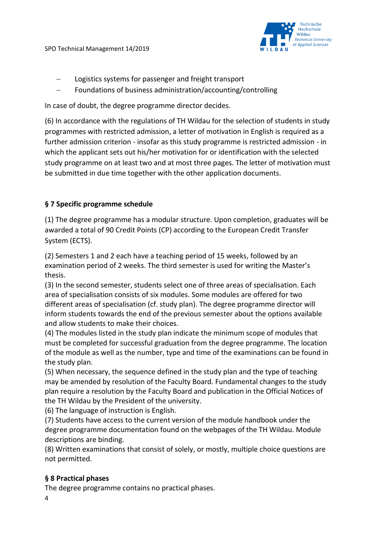

- − Logistics systems for passenger and freight transport
- − Foundations of business administration/accounting/controlling

In case of doubt, the degree programme director decides.

(6) In accordance with the regulations of TH Wildau for the selection of students in study programmes with restricted admission, a letter of motivation in English is required as a further admission criterion - insofar as this study programme is restricted admission - in which the applicant sets out his/her motivation for or identification with the selected study programme on at least two and at most three pages. The letter of motivation must be submitted in due time together with the other application documents.

# **§ 7 Specific programme schedule**

(1) The degree programme has a modular structure. Upon completion, graduates will be awarded a total of 90 Credit Points (CP) according to the European Credit Transfer System (ECTS).

(2) Semesters 1 and 2 each have a teaching period of 15 weeks, followed by an examination period of 2 weeks. The third semester is used for writing the Master's thesis.

(3) In the second semester, students select one of three areas of specialisation. Each area of specialisation consists of six modules. Some modules are offered for two different areas of specialisation (cf. study plan). The degree programme director will inform students towards the end of the previous semester about the options available and allow students to make their choices.

(4) The modules listed in the study plan indicate the minimum scope of modules that must be completed for successful graduation from the degree programme. The location of the module as well as the number, type and time of the examinations can be found in the study plan.

(5) When necessary, the sequence defined in the study plan and the type of teaching may be amended by resolution of the Faculty Board. Fundamental changes to the study plan require a resolution by the Faculty Board and publication in the Official Notices of the TH Wildau by the President of the university.

(6) The language of instruction is English.

(7) Students have access to the current version of the module handbook under the degree programme documentation found on the webpages of the TH Wildau. Module descriptions are binding.

(8) Written examinations that consist of solely, or mostly, multiple choice questions are not permitted.

# **§ 8 Practical phases**

The degree programme contains no practical phases.